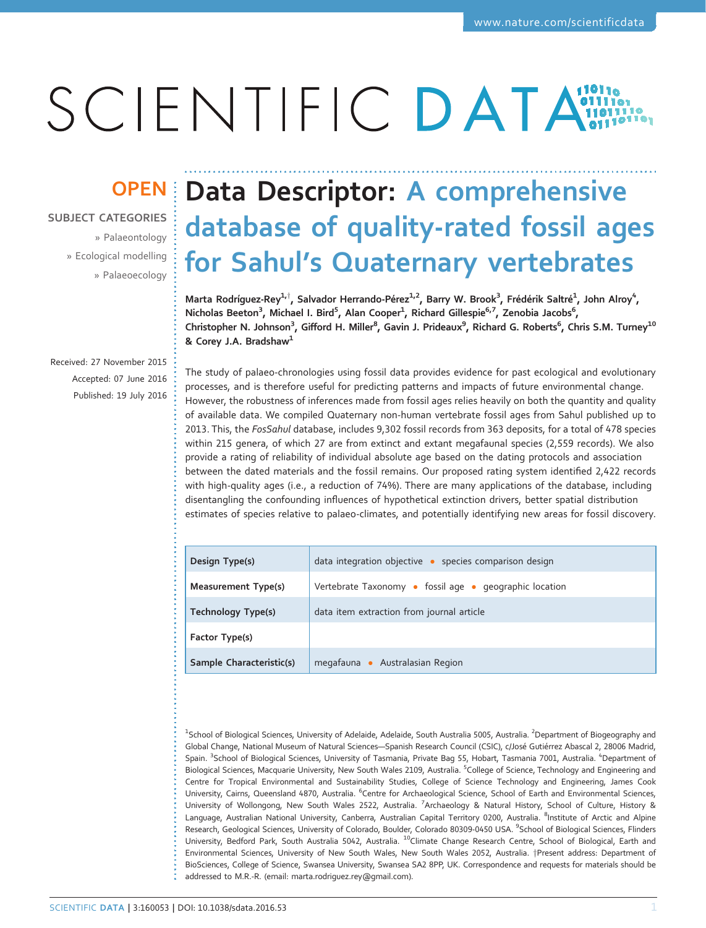# SCIENTIFIC DATA

SUBJECT CATEGORIES

» Palaeontology » Ecological modelling » Palaeoecology

## OPEN Data Descriptor: A comprehensive database of quality-rated fossil ages for Sahul's Quaternary vertebrates

Marta Rodríguez-Rey $^{1, \dagger}$ , Salvador Herrando-Pérez $^{1, 2}$ , Barry W. Brook $^3$ , Frédérik Saltré $^1$ , John Alroy $^4$ , Nicholas Beeton<sup>3</sup>, Michael I. Bird<sup>5</sup>, Alan Cooper<sup>1</sup>, Richard Gillespie<sup>6,7</sup>, Zenobia Jacobs<sup>6</sup>, Christopher N. Johnson<sup>3</sup>, Gifford H. Miller<sup>8</sup>, Gavin J. Prideaux<sup>9</sup>, Richard G. Roberts<sup>6</sup>, Chris S.M. Turney<sup>10</sup> & Corey J.A. Bradshaw $<sup>1</sup>$ </sup>

Received: 27 November 2015 Accepted: 07 June 2016 Published: 19 July 2016

The study of palaeo-chronologies using fossil data provides evidence for past ecological and evolutionary processes, and is therefore useful for predicting patterns and impacts of future environmental change. However, the robustness of inferences made from fossil ages relies heavily on both the quantity and quality of available data. We compiled Quaternary non-human vertebrate fossil ages from Sahul published up to 2013. This, the FosSahul database, includes 9,302 fossil records from 363 deposits, for a total of 478 species within 215 genera, of which 27 are from extinct and extant megafaunal species (2,559 records). We also provide a rating of reliability of individual absolute age based on the dating protocols and association between the dated materials and the fossil remains. Our proposed rating system identified 2,422 records with high-quality ages (i.e., a reduction of 74%). There are many applications of the database, including disentangling the confounding influences of hypothetical extinction drivers, better spatial distribution estimates of species relative to palaeo-climates, and potentially identifying new areas for fossil discovery.

| Design Type(s)            | data integration objective · species comparison design |
|---------------------------|--------------------------------------------------------|
| Measurement Type(s)       | Vertebrate Taxonomy • fossil age • geographic location |
| <b>Technology Type(s)</b> | data item extraction from journal article              |
| Factor Type(s)            |                                                        |
| Sample Characteristic(s)  | megafauna • Australasian Region                        |

<sup>1</sup>School of Biological Sciences, University of Adelaide, Adelaide, South Australia 5005, Australia. <sup>2</sup>Department of Biogeography and Global Change, National Museum of Natural Sciences—Spanish Research Council (CSIC), c/José Gutiérrez Abascal 2, 28006 Madrid, Spain. <sup>3</sup>School of Biological Sciences, University of Tasmania, Private Bag 55, Hobart, Tasmania 7001, Australia. <sup>4</sup>Department of Biological Sciences, Macquarie University, New South Wales 2109, Australia. <sup>5</sup>College of Science, Technology and Engineering and Centre for Tropical Environmental and Sustainability Studies, College of Science Technology and Engineering, James Cook University, Cairns, Queensland 4870, Australia. <sup>6</sup>Centre for Archaeological Science, School of Earth and Environmental Sciences, University of Wollongong, New South Wales 2522, Australia. <sup>7</sup>Archaeology & Natural History, School of Culture, History & Language, Australian National University, Canberra, Australian Capital Territory 0200, Australia. <sup>8</sup>Institute of Arctic and Alpine Research, Geological Sciences, University of Colorado, Boulder, Colorado 80309-0450 USA. <sup>9</sup>School of Biological Sciences, Flinders University, Bedford Park, South Australia 5042, Australia. <sup>10</sup>Climate Change Research Centre, School of Biological, Earth and Environmental Sciences, University of New South Wales, New South Wales 2052, Australia. †Present address: Department of BioSciences, College of Science, Swansea University, Swansea SA2 8PP, UK. Correspondence and requests for materials should be addressed to M.R.-R. (email: [marta.rodriguez.rey@gmail.com\)](mailto:marta.rodriguez.rey@gmail.com).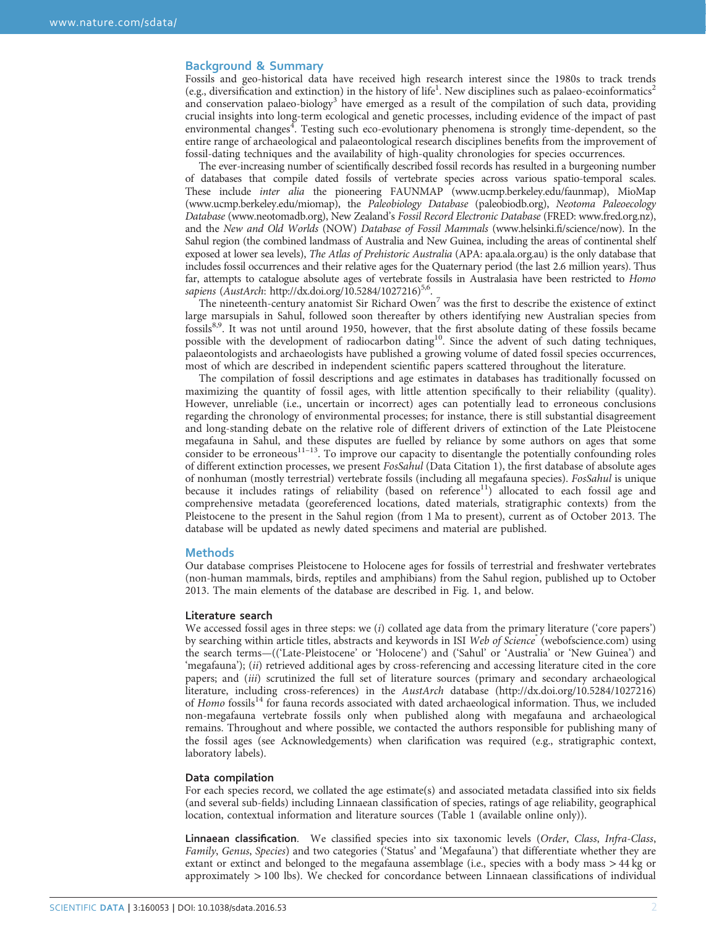#### Background & Summary

Fossils and geo-historical data have received high research interest since the 1980s to track trends (e.g., diversification and extinction) in the history of life<sup>1</sup>. New disciplines such as palaeo-ecoinformatics<sup>[2](#page-5-0)</sup> and conservation palaeo-biology<sup>[3](#page-5-0)</sup> have emerged as a result of the compilation of such data, providing crucial insights into long-term ecological and genetic processes, including evidence of the impact of past environmental changes<sup>[4](#page-5-0)</sup>. Testing such eco-evolutionary phenomena is strongly time-dependent, so the entire range of archaeological and palaeontological research disciplines benefits from the improvement of fossil-dating techniques and the availability of high-quality chronologies for species occurrences.

The ever-increasing number of scientifically described fossil records has resulted in a burgeoning number of databases that compile dated fossils of vertebrate species across various spatio-temporal scales. These include inter alia the pioneering FAUNMAP [\(www.ucmp.berkeley.edu/faunmap\)](www.ucmp.berkeley.edu/faunmap), MioMap [\(www.ucmp.berkeley.edu/miomap](www.ucmp.berkeley.edu/miomap)), the Paleobiology Database (paleobiodb.org), Neotoma Paleoecology Database [\(www.neotomadb.org\)](www.neotomadb.org), New Zealand's Fossil Record Electronic Database (FRED:<www.fred.org.nz>), and the New and Old Worlds (NOW) Database of Fossil Mammals [\(www.helsinki.](www.helsinki.fi/science/now)fi/science/now). In the Sahul region (the combined landmass of Australia and New Guinea, including the areas of continental shelf exposed at lower sea levels), The Atlas of Prehistoric Australia (APA: [apa.ala.org.au](http://apa.ala.org.au)) is the only database that includes fossil occurrences and their relative ages for the Quaternary period (the last 2.6 million years). Thus far, attempts to catalogue absolute ages of vertebrate fossils in Australasia have been restricted to Homo sapiens (AustArch:<http://dx.doi.org/10.5284/1027216>)<sup>5,[6](#page-5-0)</sup>.

The nineteenth-century anatomist Sir Richard Owen<sup>[7](#page-5-0)</sup> was the first to describe the existence of extinct large marsupials in Sahul, followed soon thereafter by others identifying new Australian species from fossils<sup>[8](#page-5-0),[9](#page-5-0)</sup>. It was not until around 1950, however, that the first absolute dating of these fossils became possible with the development of radiocarbon dating<sup>[10](#page-5-0)</sup>. Since the advent of such dating techniques, palaeontologists and archaeologists have published a growing volume of dated fossil species occurrences, most of which are described in independent scientific papers scattered throughout the literature.

The compilation of fossil descriptions and age estimates in databases has traditionally focussed on maximizing the quantity of fossil ages, with little attention specifically to their reliability (quality). However, unreliable (i.e., uncertain or incorrect) ages can potentially lead to erroneous conclusions regarding the chronology of environmental processes; for instance, there is still substantial disagreement and long-standing debate on the relative role of different drivers of extinction of the Late Pleistocene megafauna in Sahul, an[d the](#page-5-0)se disputes are fuelled by reliance by some authors on ages that some consider to be erroneous $11-13$ . To improve our capacity to disentangle the potentially confounding roles of different extinction processes, we present FosSahul (Data Citation 1), the first database of absolute ages of nonhuman (mostly terrestrial) vertebrate fossils (including all megafauna species). FosSahul is unique because it includes ratings of reliability (based on reference<sup>11</sup>) allocated to each fossil age and comprehensive metadata (georeferenced locations, dated materials, stratigraphic contexts) from the Pleistocene to the present in the Sahul region (from 1 Ma to present), current as of October 2013. The database will be updated as newly dated specimens and material are published.

#### **Methods**

Our database comprises Pleistocene to Holocene ages for fossils of terrestrial and freshwater vertebrates (non-human mammals, birds, reptiles and amphibians) from the Sahul region, published up to October 2013. The main elements of the database are described in [Fig. 1](#page-2-0), and below.

#### Literature search

We accessed fossil ages in three steps: we  $(i)$  collated age data from the primary literature ('core papers') by searching within article titles, abstracts and keywords in ISI Web of Science<sup>®</sup> (webofscience.com) using the search terms—(('Late-Pleistocene' or 'Holocene') and ('Sahul' or 'Australia' or 'New Guinea') and 'megafauna'); (ii) retrieved additional ages by cross-referencing and accessing literature cited in the core papers; and (iii) scrutinized the full set of literature sources (primary and secondary archaeological literature, including cross-references) in the AustArch database [\(http://dx.doi.org/10.5284/1027216](http://dx.doi.org/10.5284/1027216)) of Homo fossils<sup>[14](#page-5-0)</sup> for fauna records associated with dated archaeological information. Thus, we included non-megafauna vertebrate fossils only when published along with megafauna and archaeological remains. Throughout and where possible, we contacted the authors responsible for publishing many of the fossil ages (see Acknowledgements) when clarification was required (e.g., stratigraphic context, laboratory labels).

#### Data compilation

For each species record, we collated the age estimate(s) and associated metadata classified into six fields (and several sub-fields) including Linnaean classification of species, ratings of age reliability, geographical location, contextual information and literature sources (Table 1 (available online only)).

Linnaean classification. We classified species into six taxonomic levels (Order, Class, Infra-Class, Family, Genus, Species) and two categories ('Status' and 'Megafauna') that differentiate whether they are extant or extinct and belonged to the megafauna assemblage (i.e., species with a body mass >44 kg or approximately >100 lbs). We checked for concordance between Linnaean classifications of individual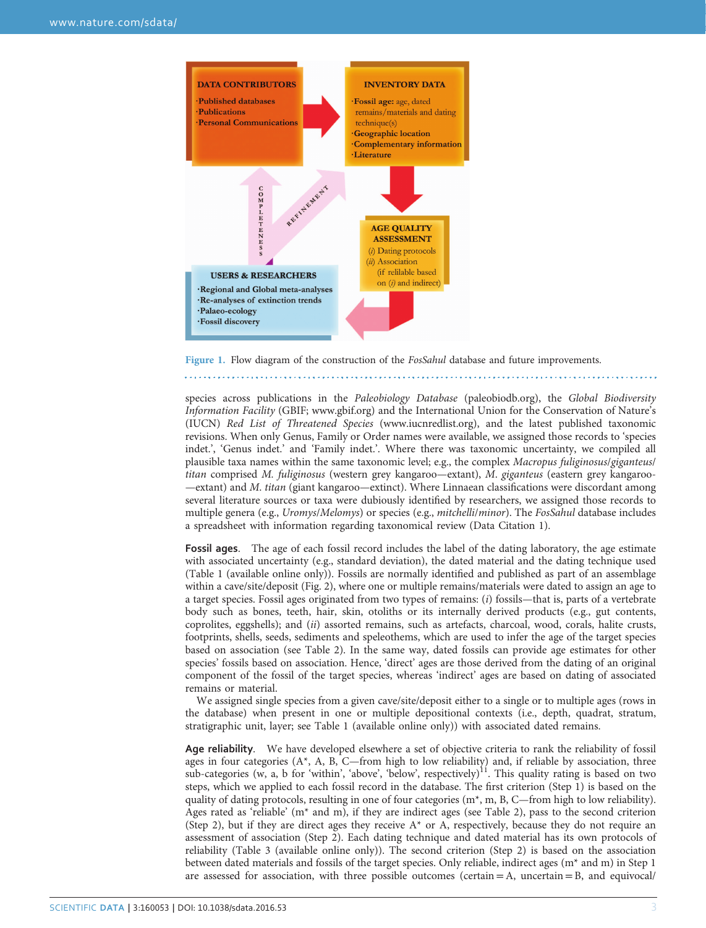<span id="page-2-0"></span>

Figure 1. Flow diagram of the construction of the *FosSahul* database and future improvements. 

species across publications in the Paleobiology Database (paleobiodb.org), the Global Biodiversity Information Facility (GBIF;<www.gbif.org>) and the International Union for the Conservation of Nature's (IUCN) Red List of Threatened Species [\(www.iucnredlist.org](www.iucnredlist.org)), and the latest published taxonomic revisions. When only Genus, Family or Order names were available, we assigned those records to 'species indet.', 'Genus indet.' and 'Family indet.'. Where there was taxonomic uncertainty, we compiled all plausible taxa names within the same taxonomic level; e.g., the complex Macropus fuliginosus/giganteus/ titan comprised M. fuliginosus (western grey kangaroo—extant), M. giganteus (eastern grey kangaroo- —extant) and M. titan (giant kangaroo—extinct). Where Linnaean classifications were discordant among several literature sources or taxa were dubiously identified by researchers, we assigned those records to multiple genera (e.g., *Uromys/Melomys*) or species (e.g., *mitchelli/minor*). The *FosSahul* database includes a spreadsheet with information regarding taxonomical review (Data Citation 1).

Fossil ages. The age of each fossil record includes the label of the dating laboratory, the age estimate with associated uncertainty (e.g., standard deviation), the dated material and the dating technique used (Table 1 (available online only)). Fossils are normally identified and published as part of an assemblage within a cave/site/deposit [\(Fig. 2\)](#page-3-0), where one or multiple remains/materials were dated to assign an age to a target species. Fossil ages originated from two types of remains: (i) fossils—that is, parts of a vertebrate body such as bones, teeth, hair, skin, otoliths or its internally derived products (e.g., gut contents, coprolites, eggshells); and (ii) assorted remains, such as artefacts, charcoal, wood, corals, halite crusts, footprints, shells, seeds, sediments and speleothems, which are used to infer the age of the target species based on association (see [Table 2](#page-3-0)). In the same way, dated fossils can provide age estimates for other species' fossils based on association. Hence, 'direct' ages are those derived from the dating of an original component of the fossil of the target species, whereas 'indirect' ages are based on dating of associated remains or material.

We assigned single species from a given cave/site/deposit either to a single or to multiple ages (rows in the database) when present in one or multiple depositional contexts (i.e., depth, quadrat, stratum, stratigraphic unit, layer; see Table 1 (available online only)) with associated dated remains.

Age reliability. We have developed elsewhere a set of objective criteria to rank the reliability of fossil ages in four categories (A\*, A, B, C—from high to low reliability) and, if reliable by association, three sub-categories (w, a, b for 'within', 'above', 'below', respectively)<sup>11</sup>. This quality rating is based on two steps, which we applied to each fossil record in the database. The first criterion (Step 1) is based on the quality of dating protocols, resulting in one of four categories (m\*, m, B, C—from high to low reliability). Ages rated as 'reliable' ( $m$ <sup>\*</sup> and m), if they are indirect ages (see [Table 2](#page-3-0)), pass to the second criterion (Step 2), but if they are direct ages they receive  $A^*$  or A, respectively, because they do not require an assessment of association (Step 2). Each dating technique and dated material has its own protocols of reliability (Table 3 (available online only)). The second criterion (Step 2) is based on the association between dated materials and fossils of the target species. Only reliable, indirect ages (m\* and m) in Step 1 are assessed for association, with three possible outcomes (certain  $=$  A, uncertain  $=$  B, and equivocal/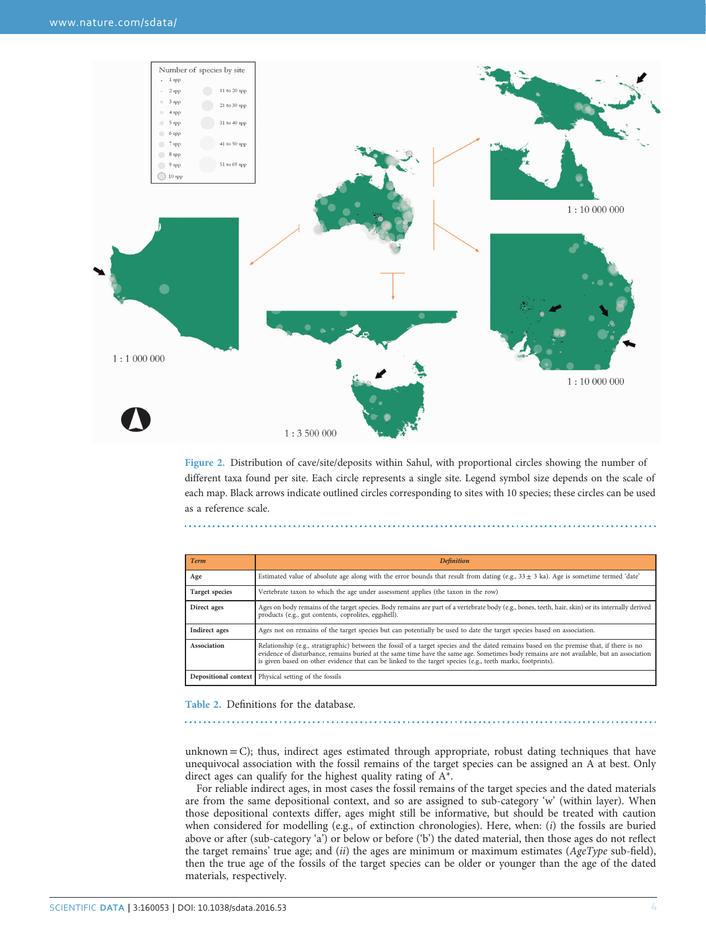<span id="page-3-0"></span>

Figure 2. Distribution of cave/site/deposits within Sahul, with proportional circles showing the number of different taxa found per site. Each circle represents a single site. Legend symbol size depends on the scale of each map. Black arrows indicate outlined circles corresponding to sites with 10 species; these circles can be used as a reference scale.

| <b>Term</b>           | <b>Definition</b>                                                                                                                                                                                                                                                                                                                                                                                   |
|-----------------------|-----------------------------------------------------------------------------------------------------------------------------------------------------------------------------------------------------------------------------------------------------------------------------------------------------------------------------------------------------------------------------------------------------|
| Age                   | Estimated value of absolute age along with the error bounds that result from dating (e.g., $33 \pm 3$ ka). Age is sometime termed 'date'                                                                                                                                                                                                                                                            |
| <b>Target species</b> | Vertebrate taxon to which the age under assessment applies (the taxon in the row)                                                                                                                                                                                                                                                                                                                   |
| Direct ages           | Ages on body remains of the target species. Body remains are part of a vertebrate body (e.g., bones, teeth, hair, skin) or its internally derived<br>products (e.g., gut contents, coprolites, eggshell).                                                                                                                                                                                           |
| Indirect ages         | Ages not on remains of the target species but can potentially be used to date the target species based on association.                                                                                                                                                                                                                                                                              |
| Association           | Relationship (e.g., stratigraphic) between the fossil of a target species and the dated remains based on the premise that, if there is no<br>evidence of disturbance, remains buried at the same time have the same age. Sometimes body remains are not available, but an association<br>is given based on other evidence that can be linked to the target species (e.g., teeth marks, footprints). |
|                       | <b>Depositional context</b>   Physical setting of the fossils                                                                                                                                                                                                                                                                                                                                       |

Table 2. Definitions for the database.

unknown  $= C$ ); thus, indirect ages estimated through appropriate, robust dating techniques that have unequivocal association with the fossil remains of the target species can be assigned an A at best. Only direct ages can qualify for the highest quality rating of A\*.

For reliable indirect ages, in most cases the fossil remains of the target species and the dated materials are from the same depositional context, and so are assigned to sub-category 'w' (within layer). When those depositional contexts differ, ages might still be informative, but should be treated with caution when considered for modelling (e.g., of extinction chronologies). Here, when: (i) the fossils are buried above or after (sub-category 'a') or below or before ('b') the dated material, then those ages do not reflect the target remains' true age; and (ii) the ages are minimum or maximum estimates ( $AgeType$  sub-field), then the true age of the fossils of the target species can be older or younger than the age of the dated materials, respectively.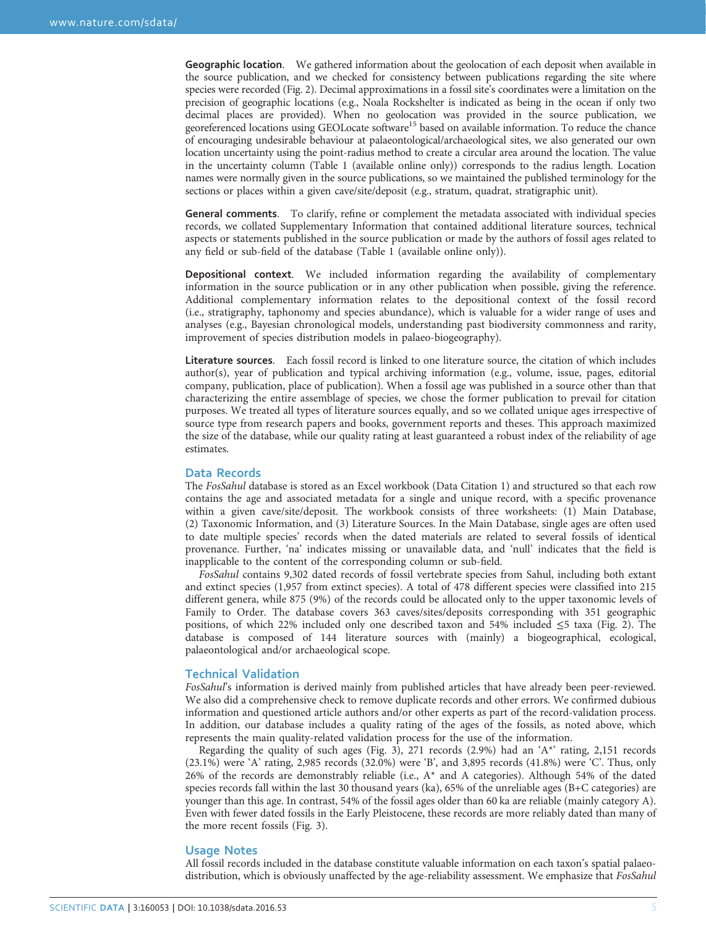Geographic location. We gathered information about the geolocation of each deposit when available in the source publication, and we checked for consistency between publications regarding the site where species were recorded ([Fig. 2](#page-3-0)). Decimal approximations in a fossil site's coordinates were a limitation on the precision of geographic locations (e.g., Noala Rockshelter is indicated as being in the ocean if only two decimal places are provided). When no geolocation was provided in the source publication, we georeferenced locations using GEOLocate software<sup>[15](#page-5-0)</sup> based on available information. To reduce the chance of encouraging undesirable behaviour at palaeontological/archaeological sites, we also generated our own location uncertainty using the point-radius method to create a circular area around the location. The value in the uncertainty column (Table 1 (available online only)) corresponds to the radius length. Location names were normally given in the source publications, so we maintained the published terminology for the sections or places within a given cave/site/deposit (e.g., stratum, quadrat, stratigraphic unit).

General comments. To clarify, refine or complement the metadata associated with individual species records, we collated Supplementary Information that contained additional literature sources, technical aspects or statements published in the source publication or made by the authors of fossil ages related to any field or sub-field of the database (Table 1 (available online only)).

Depositional context. We included information regarding the availability of complementary information in the source publication or in any other publication when possible, giving the reference. Additional complementary information relates to the depositional context of the fossil record (i.e., stratigraphy, taphonomy and species abundance), which is valuable for a wider range of uses and analyses (e.g., Bayesian chronological models, understanding past biodiversity commonness and rarity, improvement of species distribution models in palaeo-biogeography).

Literature sources. Each fossil record is linked to one literature source, the citation of which includes author(s), year of publication and typical archiving information (e.g., volume, issue, pages, editorial company, publication, place of publication). When a fossil age was published in a source other than that characterizing the entire assemblage of species, we chose the former publication to prevail for citation purposes. We treated all types of literature sources equally, and so we collated unique ages irrespective of source type from research papers and books, government reports and theses. This approach maximized the size of the database, while our quality rating at least guaranteed a robust index of the reliability of age estimates.

#### Data Records

The FosSahul database is stored as an Excel workbook (Data Citation 1) and structured so that each row contains the age and associated metadata for a single and unique record, with a specific provenance within a given cave/site/deposit. The workbook consists of three worksheets: (1) Main Database, (2) Taxonomic Information, and (3) Literature Sources. In the Main Database, single ages are often used to date multiple species' records when the dated materials are related to several fossils of identical provenance. Further, 'na' indicates missing or unavailable data, and 'null' indicates that the field is inapplicable to the content of the corresponding column or sub-field.

FosSahul contains 9,302 dated records of fossil vertebrate species from Sahul, including both extant and extinct species (1,957 from extinct species). A total of 478 different species were classified into 215 different genera, while 875 (9%) of the records could be allocated only to the upper taxonomic levels of Family to Order. The database covers 363 caves/sites/deposits corresponding with 351 geographic positions, of which 22% included only one described taxon and 54% included ≤5 taxa [\(Fig. 2](#page-3-0)). The database is composed of 144 literature sources with (mainly) a biogeographical, ecological, palaeontological and/or archaeological scope.

#### Technical Validation

FosSahul's information is derived mainly from published articles that have already been peer-reviewed. We also did a comprehensive check to remove duplicate records and other errors. We confirmed dubious information and questioned article authors and/or other experts as part of the record-validation process. In addition, our database includes a quality rating of the ages of the fossils, as noted above, which represents the main quality-related validation process for the use of the information.

Regarding the quality of such ages [\(Fig. 3\)](#page-5-0), 271 records (2.9%) had an 'A\*' rating, 2,151 records (23.1%) were 'A' rating, 2,985 records (32.0%) were 'B', and 3,895 records (41.8%) were 'C'. Thus, only 26% of the records are demonstrably reliable (i.e.,  $A^*$  and A categories). Although 54% of the dated species records fall within the last 30 thousand years (ka), 65% of the unreliable ages (B+C categories) are younger than this age. In contrast, 54% of the fossil ages older than 60 ka are reliable (mainly category A). Even with fewer dated fossils in the Early Pleistocene, these records are more reliably dated than many of the more recent fossils ([Fig. 3](#page-5-0)).

#### Usage Notes

All fossil records included in the database constitute valuable information on each taxon's spatial palaeodistribution, which is obviously unaffected by the age-reliability assessment. We emphasize that FosSahul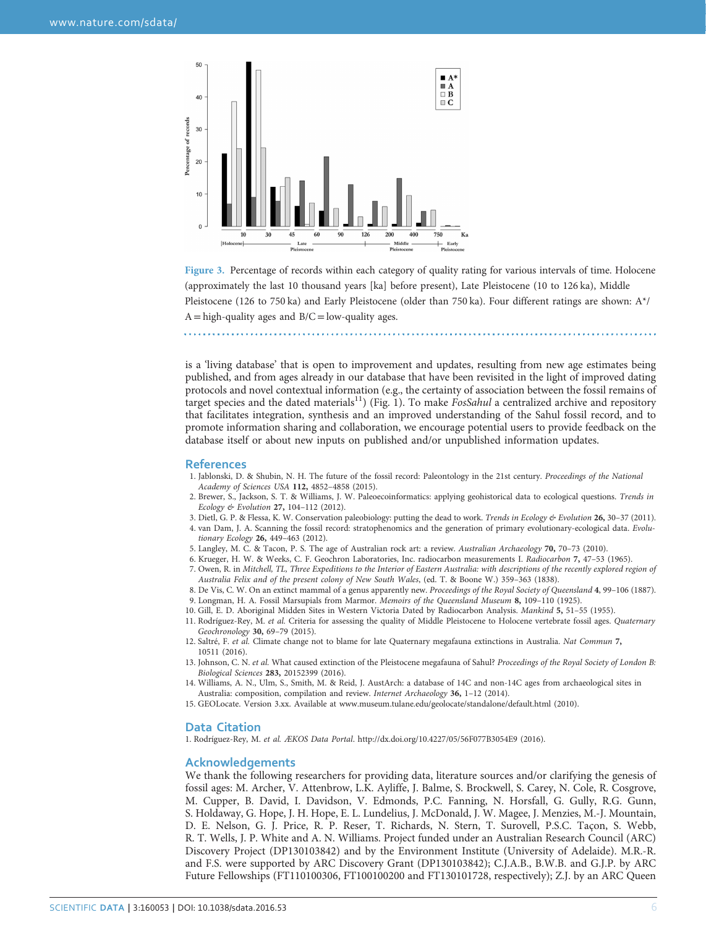<span id="page-5-0"></span>

Figure 3. Percentage of records within each category of quality rating for various intervals of time. Holocene (approximately the last 10 thousand years [ka] before present), Late Pleistocene (10 to 126 ka), Middle Pleistocene (126 to 750 ka) and Early Pleistocene (older than 750 ka). Four different ratings are shown: A\*/  $A = high-quality ages and B/C = low-quality ages.$ 

is a 'living database' that is open to improvement and updates, resulting from new age estimates being published, and from ages already in our database that have been revisited in the light of improved dating protocols and novel contextual information (e.g., the certainty of association between the fossil remains of target species and the dated materials<sup>11</sup>) [\(Fig. 1](#page-2-0)). To make *FosSahul* a centralized archive and repository that facilitates integration, synthesis and an improved understanding of the Sahul fossil record, and to promote information sharing and collaboration, we encourage potential users to provide feedback on the database itself or about new inputs on published and/or unpublished information updates.

#### **References**

- 1. Jablonski, D. & Shubin, N. H. The future of the fossil record: Paleontology in the 21st century. Proceedings of the National Academy of Sciences USA 112, 4852–4858 (2015).
- 2. Brewer, S., Jackson, S. T. & Williams, J. W. Paleoecoinformatics: applying geohistorical data to ecological questions. Trends in Ecology & Evolution 27, 104–112 (2012).
- 3. Dietl, G. P. & Flessa, K. W. Conservation paleobiology: putting the dead to work. Trends in Ecology & Evolution 26, 30-37 (2011). 4. van Dam, J. A. Scanning the fossil record: stratophenomics and the generation of primary evolutionary-ecological data. Evolutionary Ecology 26, 449–463 (2012).
- 5. Langley, M. C. & Tacon, P. S. The age of Australian rock art: a review. Australian Archaeology 70, 70–73 (2010).
- 6. Krueger, H. W. & Weeks, C. F. Geochron Laboratories, Inc. radiocarbon measurements I. Radiocarbon 7, 47–53 (1965).
- 7. Owen, R. in Mitchell, TL, Three Expeditions to the Interior of Eastern Australia: with descriptions of the recently explored region of Australia Felix and of the present colony of New South Wales, (ed. T. & Boone W.) 359–363 (1838).
- 8. De Vis, C. W. On an extinct mammal of a genus apparently new. Proceedings of the Royal Society of Queensland 4, 99–106 (1887). 9. Longman, H. A. Fossil Marsupials from Marmor. Memoirs of the Queensland Museum 8, 109–110 (1925).
- 10. Gill, E. D. Aboriginal Midden Sites in Western Victoria Dated by Radiocarbon Analysis. Mankind 5, 51–55 (1955).
- 11. Rodríguez-Rey, M. et al. Criteria for assessing the quality of Middle Pleistocene to Holocene vertebrate fossil ages. Quaternary Geochronology 30, 69–79 (2015).
- 12. Saltré, F. et al. Climate change not to blame for late Quaternary megafauna extinctions in Australia. Nat Commun 7, 10511 (2016).
- 13. Johnson, C. N. et al. What caused extinction of the Pleistocene megafauna of Sahul? Proceedings of the Royal Society of London B: Biological Sciences 283, 20152399 (2016).
- 14. Williams, A. N., Ulm, S., Smith, M. & Reid, J. AustArch: a database of 14C and non-14C ages from archaeological sites in Australia: composition, compilation and review. Internet Archaeology 36, 1–12 (2014).
- 15. GEOLocate. Version 3.xx. Available at<www.museum.tulane.edu/geolocate/standalone/default.html> (2010).

#### Data Citation

1. Rodríguez-Rey, M. et al. ÆKOS Data Portal.<http://dx.doi.org/10.4227/05/56F077B3054E9> (2016).

#### Acknowledgements

We thank the following researchers for providing data, literature sources and/or clarifying the genesis of fossil ages: M. Archer, V. Attenbrow, L.K. Ayliffe, J. Balme, S. Brockwell, S. Carey, N. Cole, R. Cosgrove, M. Cupper, B. David, I. Davidson, V. Edmonds, P.C. Fanning, N. Horsfall, G. Gully, R.G. Gunn, S. Holdaway, G. Hope, J. H. Hope, E. L. Lundelius, J. McDonald, J. W. Magee, J. Menzies, M.-J. Mountain, D. E. Nelson, G. J. Price, R. P. Reser, T. Richards, N. Stern, T. Surovell, P.S.C. Taçon, S. Webb, R. T. Wells, J. P. White and A. N. Williams. Project funded under an Australian Research Council (ARC) Discovery Project (DP130103842) and by the Environment Institute (University of Adelaide). M.R.-R. and F.S. were supported by ARC Discovery Grant (DP130103842); C.J.A.B., B.W.B. and G.J.P. by ARC Future Fellowships (FT110100306, FT100100200 and FT130101728, respectively); Z.J. by an ARC Queen